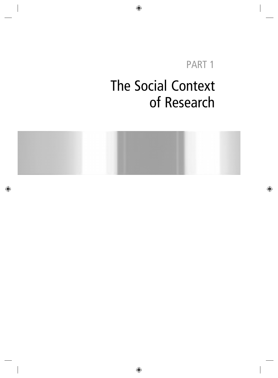### PART 1

 $\bigoplus$ 

# The Social Context of Research



 $\bigoplus$ 

 $\bigoplus$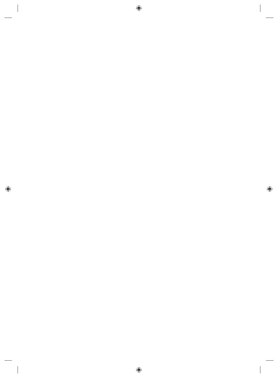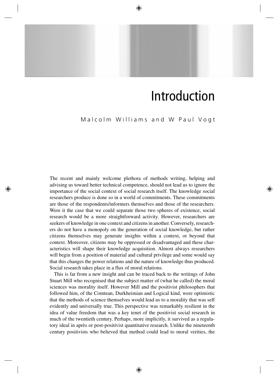### Introduction

⊕

#### Malcolm Williams and W Paul Vogt

⊕

The recent and mainly welcome plethora of methods writing, helping and advising us toward better technical competence, should not lead us to ignore the importance of the social context of social research itself. The knowledge social researchers produce is done so in a world of commitments. These commitments are those of the respondents/informers themselves and those of the researchers. Were it the case that we could separate those two spheres of existence, social research would be a more straightforward activity. However, researchers are seekers of knowledge in one context and citizens in another. Conversely, researchers do not have a monopoly on the generation of social knowledge, but rather citizens themselves may generate insights within a context, or beyond that context. Moreover, citizens may be oppressed or disadvantaged and these characteristics will shape their knowledge acquisition. Almost always researchers will begin from a position of material and cultural privilege and some would say that this changes the power relations and the nature of knowledge thus produced. Social research takes place in a flux of moral relations.

⊕

This is far from a new insight and can be traced back to the writings of John Stuart Mill who recognised that the subject matter of (what he called) the moral sciences was morality itself. However Mill and the positivist philosophers that followed him, of the Comtean, Durkheimian and Logical kind, were optimistic that the methods of science themselves would lead us to a morality that was self evidently and universally true. This perspective was remarkably resilient in the idea of value freedom that was a key tenet of the positivist social research in much of the twentieth century. Perhaps, more implicitly, it survived as a regulatory ideal in après or post-positivist quantitative research. Unlike the nineteenth century positivists who believed that method could lead to moral verities, the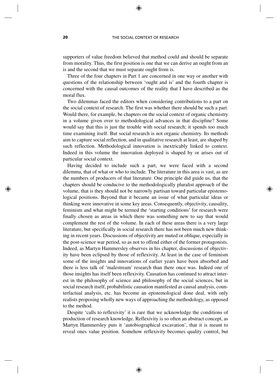supporters of value freedom believed that method could and should be separate from morality. Thus, the first position is one that we can derive an ought from an is and the second that we must separate ought from is.

Three of the four chapters in Part 1 are concerned in one way or another with questions of the relationship between 'ought and is' and the fourth chapter is concerned with the causal outcomes of the reality that I have described as the moral flux.

Two dilemmas faced the editors when considering contributions to a part on the social context of research. The first was whether there should be such a part. Would there, for example, be chapters on the social context of organic chemistry in a volume given over to methodological advances in that discipline? Some would say that this is just the trouble with social research; it spends too much time examining itself. But social research is not organic chemistry. Its methods aim to capture social reflection, and in qualitative research at least, are shaped by such reflection. Methodological innovation is inextricably linked to context. Indeed in this volume the innovation deployed is shaped by or arises out of particular social context.

Having decided to include such a part, we were faced with a second dilemma, that of what or who to include. The literature in this area is vast, as are the numbers of producers of that literature. One principle did guide us, that the chapters should be conducive to the methodologically pluralist approach of the volume, that is they should not be narrowly partisan toward particular epistemological positions. Beyond that it became an issue of what particular ideas or thinking were innovative in some key areas. Consequently, objectivity, causality, feminism and what might be termed the 'starting conditions' for research were finally chosen as areas in which there was something new to say that would complement the rest of the volume. In each of these areas there is a very large literature, but specifically in social research there has not been much new thinking in recent years. Discussions of objectivity are muted or oblique, especially in the post-science war period, so as not to offend either of the former protagonists. Indeed, as Martyn Hammersley observes in his chapter, discussions of objectivity have been eclipsed by those of reflexivity. At least in the case of feminism some of the insights and innovations of earlier years have been absorbed and there is less talk of 'malestream' research than there once was. Indeed one of those insights has itself been reflexivity. Causation has continued to attract interest in the philosophy of science and philosophy of the social sciences, but in social research itself, probabilistic causation manifested as causal analysis, counterfactual analysis, etc. has become an epistemological done deal, with only realists proposing wholly new ways of approaching the methodology, as opposed to the method.

⊕

Despite 'calls to reflexivity' it is rare that we acknowledge the conditions of production of research knowledge. Reflexivity is so often an abstract concept, as Martyn Hammersley puts it 'autobiographical excavation', that it is meant to reveal ones value position. Somehow reflexivity becomes quality control, but

♠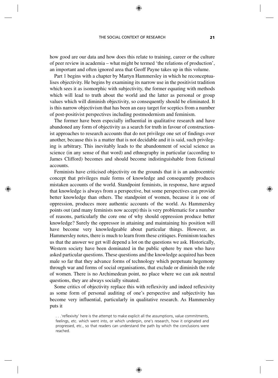⊕

how good are our data and how does this relate to training, career or the culture of peer review in academia – what might be termed 'the relations of production', an important and often ignored area that Geoff Payne takes up in this volume.

Part 1 begins with a chapter by Martyn Hammersley in which he reconceptualises objectivity. He begins by examining its narrow use in the positivist tradition which sees it as isomorphic with subjectivity, the former equating with methods which will lead to truth about the world and the latter as personal or group values which will diminish objectivity, so consequently should be eliminated. It is this narrow objectivism that has been an easy target for sceptics from a number of post-positivist perspectives including postmodernism and feminism.

The former have been especially influential in qualitative research and have abandoned any form of objectivity as a search for truth in favour of constructionist approaches to research accounts that do not privilege one set of findings over another, because this is a matter that is not decidable and it is said, such privileging is arbitrary. This inevitably leads to the abandonment of social science as science (in any sense of that word) and ethnography in particular (according to James Clifford) becomes and should become indistinguishable from fictional accounts.

Feminists have criticised objectivity on the grounds that it is an androcentric concept that privileges male forms of knowledge and consequently produces mistaken accounts of the world. Standpoint feminists, in response, have argued that knowledge is always from a perspective, but some perspectives can provide better knowledge than others. The standpoint of women, because it is one of oppression, produces more authentic accounts of the world. As Hammersley points out (and many feminists now accept) this is very problematic for a number of reasons, particularly the core one of why should oppression produce better knowledge? Surely the oppressor in attaining and maintaining his position will have become very knowledgeable about particular things. However, as Hammersley notes, there is much to learn from these critiques. Feminism teaches us that the answer we get will depend a lot on the questions we ask. Historically, Western society have been dominated in the public sphere by men who have asked particular questions. These questions and the knowledge acquired has been male so far that they advance forms of technology which perpetuate hegemony through war and forms of social organisations, that exclude or diminish the role of women. There is no Archimedean point, no place where we can ask neutral questions, they are always socially situated.

Some critics of objectivity replace this with reflexivity and indeed reflexivity as some form of personal auditing of one's perspective and subjectivity has become very influential, particularly in qualitative research. As Hammersley puts it

. . .'reflexivity' here is the attempt to make explicit all the assumptions, value commitments, feelings, etc. which went into, or which underpin, one's research, how it originated and progressed, etc., so that readers can understand the path by which the conclusions were reached.

♠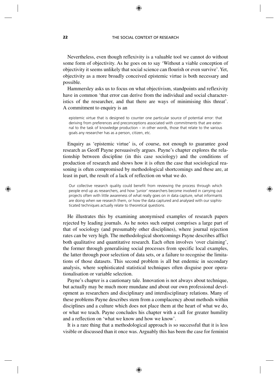⊕

Nevertheless, even though reflexivity is a valuable tool we cannot do without some form of objectivity. As he goes on to say 'Without a viable conception of objectivity it seems unlikely that social science can flourish or even survive'. Yet, objectivity as a more broadly conceived epistemic virtue is both necessary and possible.

Hammersley asks us to focus on what objectivism, standpoints and reflexivity have in common 'that error can derive from the individual and social characteristics of the researcher, and that there are ways of minimising this threat'. A commitment to enquiry is an

epistemic virtue that is designed to counter one particular source of potential error: that deriving from preferences and preconceptions associated with commitments that are external to the task of knowledge production – in other words, those that relate to the various goals any researcher has as a person, citizen, etc.

Enquiry as 'epistemic virtue' is, of course, not enough to guarantee good research as Geoff Payne persuasively argues. Payne's chapter explores the relationship between discipline (in this case sociology) and the conditions of production of research and shows how it is often the case that sociological reasoning is often compromised by methodological shortcomings and these are, at least in part, the result of a lack of reflection on what we do.

Our collective research quality could benefit from reviewing the process through which people end up as researchers, and how 'junior' researchers become involved in carrying out projects often with little awareness of what really goes on in data capture, what informants are doing when we research them, or how the data captured and analysed with our sophisticated techniques actually relate to theoretical questions.

⊕

He illustrates this by examining anonymised examples of research papers rejected by leading journals. As he notes such output comprises a large part of that of sociology (and presumably other disciplines), where journal rejection rates can be very high. The methodological shortcomings Payne describes afflict both qualitative and quantitative research. Each often involves 'over claiming', the former through generalising social processes from specific local examples, the latter through poor selection of data sets, or a failure to recognise the limitations of those datasets. This second problem is all but endemic in secondary analysis, where sophisticated statistical techniques often disguise poor operationalisation or variable selection.

Payne's chapter is a cautionary tale. Innovation is not always about technique, but actually may be much more mundane and about our own professional development as researchers and disciplinary and interdisciplinary relations. Many of these problems Payne describes stem from a complacency about methods within disciplines and a culture which does not place them at the heart of what we do, or what we teach. Payne concludes his chapter with a call for greater humility and a reflection on 'what we know and how we know'.

It is a rare thing that a methodological approach is so successful that it is less visible or discussed than it once was. Arguably this has been the case for feminist

♠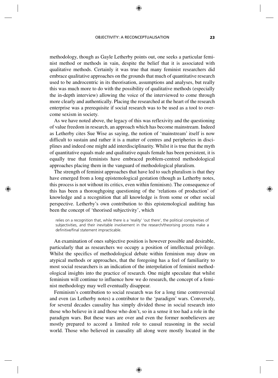methodology, though as Gayle Letherby points out, one seeks a particular feminist method or methods in vain, despite the belief that it is associated with qualitative methods. Certainly it was true that many feminist researchers did embrace qualitative approaches on the grounds that much of quantitative research used to be androcentric in its theorisation, assumptions and analyses, but really this was much more to do with the possibility of qualitative methods (especially the in-depth interview) allowing the voice of the interviewed to come through more clearly and authentically. Placing the researched at the heart of the research enterprise was a prerequisite if social research was to be used as a tool to overcome sexism in society.

As we have noted above, the legacy of this was reflexivity and the questioning of value freedom in research, an approach which has become mainstream. Indeed as Letherby cites Sue Wise as saying, the notion of 'mainstream' itself is now difficult to sustain and rather it is a matter of centres and peripheries in disciplines and indeed one might add interdisciplinarity. Whilst it is true that the myth of quantitative equals male and qualitative equals female has been persistent, it is equally true that feminists have embraced problem-centred methodological approaches placing them in the vanguard of methodological pluralism.

The strength of feminist approaches that have led to such pluralism is that they have emerged from a long epistemological gestation (though as Letherby notes, this process is not without its critics, even within feminism). The consequence of this has been a thoroughgoing questioning of the 'relations of production' of knowledge and a recognition that all knowledge is from some or other social perspective. Letherby's own contribution to this epistemological auditing has been the concept of 'theorised subjectivity', which

relies on a recognition that, while there is a 'reality' 'out there', the political complexities of subjectivities, and their inevitable involvement in the research/theorising process make a definitive/final statement impracticable.

An examination of ones subjective position is however possible and desirable, particularly that as researchers we occupy a position of intellectual privilege. Whilst the specifics of methodological debate within feminism may draw on atypical methods or approaches, that the foregoing has a feel of familiarity to most social researchers is an indication of the interpolation of feminist methodological insights into the practice of research. One might speculate that whilst feminism will continue to influence how we do research, the concept of a feminist methodology may well eventually disappear.

Feminism's contribution to social research was for a long time controversial and even (as Letherby notes) a contributor to the 'paradigm' wars. Conversely, for several decades causality has simply divided those in social research into those who believe in it and those who don't, so in a sense it too had a role in the paradigm wars. But these wars are over and even the former nonbelievers are mostly prepared to accord a limited role to causal reasoning in the social world. Those who believed in causality all along were mostly located in the

♠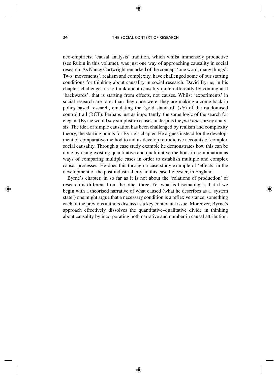⊕

neo-empiricist 'causal analysis' tradition, which whilst immensely productive (see Rubin in this volume), was just one way of approaching causality in social research. As Nancy Cartwright remarked of the concept 'one word, many things': Two 'movements', realism and complexity, have challenged some of our starting conditions for thinking about causality in social research. David Byrne, in his chapter, challenges us to think about causality quite differently by coming at it 'backwards', that is starting from effects, not causes. Whilst 'experiments' in social research are rarer than they once were, they are making a come back in policy-based research, emulating the 'gold standard' (*sic*) of the randomised control trail (RCT). Perhaps just as importantly, the same logic of the search for elegant (Byrne would say simplistic) causes underpins the *post hoc* survey analysis. The idea of simple causation has been challenged by realism and complexity theory, the starting points for Byrne's chapter. He argues instead for the development of comparative method to aid us develop retrodictive accounts of complex social causality. Through a case study example he demonstrates how this can be done by using existing quantitative and qualititative methods in combination as ways of comparing multiple cases in order to establish multiple and complex causal processes. He does this through a case study example of 'effects' in the development of the post industrial city, in this case Leicester, in England.

Byrne's chapter, in so far as it is not about the 'relations of production' of research is different from the other three. Yet what is fascinating is that if we begin with a theorised narrative of what caused (what he describes as a 'system state') one might argue that a necessary condition is a reflexive stance, something each of the previous authors discuss as a key contextual issue. Moreover, Byrne's approach effectively dissolves the quantitative–qualitative divide in thinking about causality by incorporating both narrative and number in causal attribution.

⊕

⊕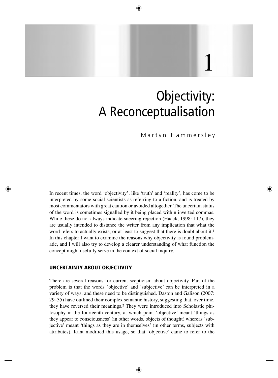## Objectivity: A Reconceptualisation

⊕

Martyn Hammersley

1

⊕

In recent times, the word 'objectivity', like 'truth' and 'reality', has come to be interpreted by some social scientists as referring to a fiction, and is treated by most commentators with great caution or avoided altogether. The uncertain status of the word is sometimes signalled by it being placed within inverted commas. While these do not always indicate sneering rejection (Haack, 1998: 117), they are usually intended to distance the writer from any implication that what the word refers to actually exists, or at least to suggest that there is doubt about it.<sup>1</sup> In this chapter I want to examine the reasons why objectivity is found problematic, and I will also try to develop a clearer understanding of what function the concept might usefully serve in the context of social inquiry.

#### UNCERTAINTY ABOUT OBJECTIVITY

⊕

There are several reasons for current scepticism about objectivity. Part of the problem is that the words 'objective' and 'subjective' can be interpreted in a variety of ways, and these need to be distinguished. Daston and Galison (2007: 29–35) have outlined their complex semantic history, suggesting that, over time, they have reversed their meanings.2 They were introduced into Scholastic philosophy in the fourteenth century, at which point 'objective' meant 'things as they appear to consciousness' (in other words, objects of thought) whereas 'subjective' meant 'things as they are in themselves' (in other terms, subjects with attributes). Kant modified this usage, so that 'objective' came to refer to the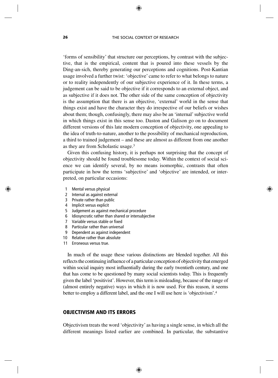⊕

'forms of sensibility' that structure our perceptions, by contrast with the subjective, that is the empirical, content that is poured into these vessels by the Ding-an-sich, thereby generating our perceptions and cognitions. Post-Kantian usage involved a further twist: 'objective' came to refer to what belongs to nature or to reality independently of our subjective experience of it. In these terms, a judgement can be said to be objective if it corresponds to an external object, and as subjective if it does not. The other side of the same conception of objectivity is the assumption that there is an objective, 'external' world in the sense that things exist and have the character they do irrespective of our beliefs or wishes about them; though, confusingly, there may also be an 'internal' subjective world in which things exist in this sense too. Daston and Galison go on to document different versions of this late modern conception of objectivity, one appealing to the idea of truth-to- nature, another to the possibility of mechanical reproduction, a third to trained judgement – and these are almost as different from one another as they are from Scholastic usage.3

Given this confusing history, it is perhaps not surprising that the concept of objectivity should be found troublesome today. Within the context of social science we can identify several, by no means isomorphic, contrasts that often participate in how the terms 'subjective' and 'objective' are intended, or interpreted, on particular occasions:

⊕

- 1 Mental versus physical
- 2 Internal as against external
- 3 Private rather than public
- 4 Implicit versus explicit
- 5 Judgement as against mechanical procedure
- 6 Idiosyncratic rather than shared or intersubjective
- 7 Variable versus stable or fixed
- 8 Particular rather than universal
- 9 Dependent as against independent
- 10 Relative rather than absolute
- 11 Erroneous versus true.

In much of the usage these various distinctions are blended together. All this reflects the continuing influence of a particular conception of objectivity that emerged within social inquiry most influentially during the early twentieth century, and one that has come to be questioned by many social scientists today. This is frequently given the label 'positivist'. However, this term is misleading, because of the range of (almost entirely negative) ways in which it is now used. For this reason, it seems better to employ a different label, and the one I will use here is 'objectivism'.4

#### OBJECTIVISM AND ITS ERRORS

Objectivism treats the word 'objectivity' as having a single sense, in which all the different meanings listed earlier are combined. In particular, the substantive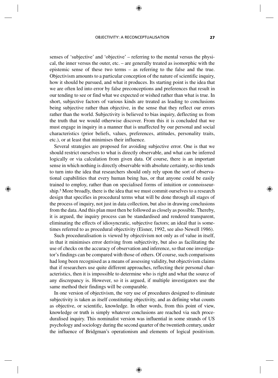senses of 'subjective' and 'objective' – referring to the mental versus the physical, the inner versus the outer, etc. – are generally treated as isomorphic with the epistemic sense of these two terms – as referring to the false and the true. Objectivism amounts to a particular conception of the nature of scientific inquiry, how it should be pursued, and what it produces. Its starting point is the idea that we are often led into error by false preconceptions and preferences that result in our tending to see or find what we expected or wished rather than what is true. In short, subjective factors of various kinds are treated as leading to conclusions being subjective rather than objective, in the sense that they reflect our errors rather than the world. Subjectivity is believed to bias inquiry, deflecting us from the truth that we would otherwise discover. From this it is concluded that we must engage in inquiry in a manner that is unaffected by our personal and social characteristics (prior beliefs, values, preferences, attitudes, personality traits, etc.), or at least that minimises their influence.

Several strategies are proposed for avoiding subjective error. One is that we should restrict ourselves to what is directly observable, and what can be inferred logically or via calculation from given data. Of course, there is an important sense in which nothing is directly observable with absolute certainty, so this tends to turn into the idea that researchers should only rely upon the sort of observational capabilities that every human being has, or that anyone could be easily trained to employ, rather than on specialised forms of intuition or connoisseurship.5 More broadly, there is the idea that we must commit ourselves to a research design that specifies in procedural terms what will be done through all stages of the process of inquiry, not just in data collection, but also in drawing conclusions from the data. And this plan must then be followed as closely as possible. Thereby, it is argued, the inquiry process can be standardised and rendered transparent, eliminating the effects of idiosyncratic, subjective factors; an ideal that is sometimes referred to as procedural objectivity (Eisner, 1992, see also Newell 1986).

Such proceduralisation is viewed by objectivism not only as of value in itself, in that it minimises error deriving from subjectivity, but also as facilitating the use of checks on the accuracy of observation and inference, so that one investigator's findings can be compared with those of others. Of course, such comparisons had long been recognised as a means of assessing validity, but objectivism claims that if researchers use quite different approaches, reflecting their personal characteristics, then it is impossible to determine who is right and what the source of any discrepancy is. However, so it is argued, if multiple investigators use the same method their findings will be comparable.

In one version of objectivism, the very use of procedures designed to eliminate subjectivity is taken as itself constituting objectivity, and as defining what counts as objective, or scientific, knowledge. In other words, from this point of view, knowledge or truth is simply whatever conclusions are reached via such proceduralised inquiry. This nominalist version was influential in some strands of US psychology and sociology during the second quarter of the twentieth century, under the influence of Bridgman's operationism and elements of logical positivism.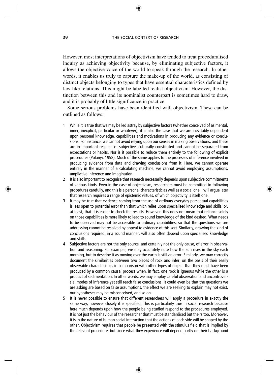However, most interpretations of objectivism have tended to treat proceduralised inquiry as achieving objectivity because, by eliminating subjective factors, it allows the objective voice of the world to speak through the research. In other words, it enables us truly to capture the make-up of the world, as consisting of distinct objects belonging to types that have essential characteristics defined by law-like relations. This might be labelled realist objectivism. However, the distinction between this and its nominalist counterpart is sometimes hard to draw, and it is probably of little significance in practice.

Some serious problems have been identified with objectivism. These can be outlined as follows:

- 1 While it is true that we may be led astray by subjective factors (whether conceived of as mental, inner, inexplicit, particular or whatever), it is also the case that we are inevitably dependent upon personal knowledge, capabilities and motivations in producing any evidence or conclusions. For instance, we cannot avoid relying upon our senses in making observations, and these are in important respect, of subjective, culturally constituted and cannot be separated from expectations or habits. Nor is it possible to reduce them entirely to the following of explicit procedures (Polanyi, 1958). Much of the same applies to the processes of inference involved in producing evidence from data and drawing conclusions from it. Here, we cannot operate entirely in the manner of a calculating machine, we cannot avoid employing assumptions, ampliative inference and imagination.
- 2 It is also important to recognise that research necessarily depends upon subjective commitments of various kinds. Even in the case of objectivism, researchers must be committed to following procedures carefully, and this is a personal characteristic as well as a social one. I will argue later that research requires a range of epistemic virtues, of which objectivity is itself one.

↔

- 3 It may be true that evidence coming from the use of ordinary everyday perceptual capabilities is less open to potential error than that which relies upon specialised knowledge and skills; or, at least, that it is easier to check the results. However, this does not mean that reliance solely on those capabilities is more likely to lead to sound knowledge of the kind desired. What needs to be observed may not be accessible to ordinary capabilities, so that the questions we are addressing cannot be resolved by appeal to evidence of this sort. Similarly, drawing the kind of conclusions required, in a sound manner, will also often depend upon specialised knowledge and skills.
- Subjective factors are not the only source, and certainly not the only cause, of error in observation and reasoning. For example, we may accurately note how the sun rises in the sky each morning, but to describe it as moving over the earth is still an error. Similarly, we may correctly document the similarities between two pieces of rock and infer, on the basis of their easily observable characteristics in comparison with other types of object, that they must have been produced by a common causal process when, in fact, one rock is igneous while the other is a product of sedimentation. In other words, we may employ careful observation and uncontroversial modes of inference yet still reach false conclusions. It could even be that the questions we are asking are based on false assumptions, the effect we are seeking to explain may not exist, our hypotheses may be misconceived, and so on.
- 5 It is never possible to ensure that different researchers will apply a procedure in exactly the same way, however closely it is specified. This is particularly true in social research because here much depends upon how the people being studied respond to the procedures employed. It is not just the behaviour of the researcher that must be standardised but theirs too. Moreover, it is in the nature of human social interaction that the actions of each side will be shaped by the other. Objectivism requires that people be presented with the stimulus field that is implied by the relevant procedure, but since what they experience will depend partly on their background

♠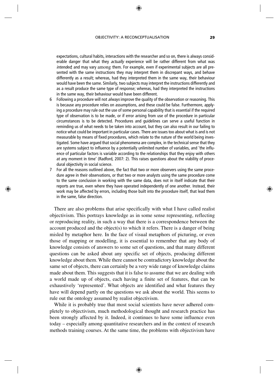expectations, cultural habits, interactions with the researcher and so on, there is always considerable danger that what they *actually* experience will be rather different from what was *intended*; and may vary among them. For example, even if experimental subjects are all presented with the same instructions they may interpret them in discrepant ways, and behave differently as a result; whereas, had they interpreted them in the same way, their behaviour would have been the same. Similarly, two subjects may interpret the instructions differently and as a result produce the same type of response; whereas, had they interpreted the instructions in the same way, their behaviour would have been different.

- 6 Following a procedure will not *always* improve the quality of the observation or reasoning. This is because any procedure relies on assumptions, and these could be false. Furthermore, applying a procedure may rule out the use of some personal capability that is essential if the required type of observation is to be made, or if error arising from use of the procedure in particular circumstances is to be detected. Procedures and guidelines can serve a useful function in reminding us of what needs to be taken into account, but they can also result in our failing to notice what could be important in particular cases. There are issues too about what is and is not measurable by means of fixed procedures, which relate to the nature of the world being investigated. Some have argued that social phenomena are complex, in the technical sense that they are systems subject to influence by a potentially unlimited number of variables, and 'the influence of particular factors is variable according to the relationships that they enjoy with others at any moment in time' (Radford, 2007: 2). This raises questions about the viability of procedural objectivity in social science.
- 7 For all the reasons outlined above, the fact that two or more observers using the same procedure agree in their observations, or that two or more analysts using the same procedure come to the same conclusion in working with the same data, does not in itself indicate that their reports are true, even where they have operated independently of one another. Instead, their work may be affected by errors, including those built into the procedure itself, that lead them in the same, false direction.

There are also problems that arise specifically with what I have called realist objectivism. This portrays knowledge as in some sense representing, reflecting or reproducing reality, in such a way that there is a correspondence between the account produced and the object(s) to which it refers. There is a danger of being misled by metaphor here. In the face of visual metaphors of picturing, or even those of mapping or modelling, it is essential to remember that any body of knowledge consists of answers to some set of questions, and that many different questions can be asked about any specific set of objects, producing different knowledge about them. While there cannot be contradictory knowledge about the same set of objects, there can certainly be a very wide range of knowledge claims made about them. This suggests that it is false to assume that we are dealing with a world made up of objects, each having a finite set of features, that can be exhaustively 'represented'. What objects are identified and what features they have will depend partly on the questions we ask about the world. This seems to rule out the ontology assumed by realist objectivism.

While it is probably true that most social scientists have never adhered completely to objectivism, much methodological thought and research practice has been strongly affected by it. Indeed, it continues to have some influence even today – especially among quantitative researchers and in the context of research methods training courses. At the same time, the problems with objectivism have

♠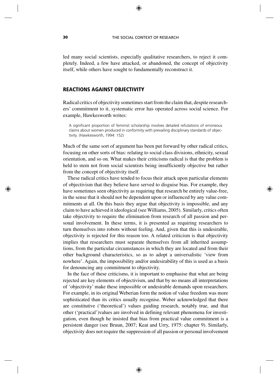led many social scientists, especially qualitative researchers, to reject it completely. Indeed, a few have attacked, or abandoned, the concept of objectivity itself, while others have sought to fundamentally reconstruct it.

#### REACTIONS AGAINST OBJECTIVITY

Radical critics of objectivity sometimes start from the claim that, despite researchers' commitment to it, systematic error has operated across social science. For example, Hawkesworth writes:

A significant proportion of feminist scholarship involves detailed refutations of erroneous claims about women produced in conformity with prevailing disciplinary standards of objectivity. (Hawkesworth, 1994: 152)

Much of the same sort of argument has been put forward by other radical critics, focusing on other sorts of bias: relating to social class divisions, ethnicity, sexual orientation, and so on. What makes their criticisms radical is that the problem is held to stem not from social scientists being insufficiently objective but rather from the concept of objectivity itself.

⊕

These radical critics have tended to focus their attack upon particular elements of objectivism that they believe have served to disguise bias. For example, they have sometimes seen objectivity as requiring that research be entirely value-free, in the sense that it should not be dependent upon or influenced by any value commitments at all. On this basis they argue that objectivity is impossible, and any claim to have achieved it ideological (see Williams, 2005). Similarly, critics often take objectivity to require the elimination from research of all passion and personal involvement. In these terms, it is presented as requiring researchers to turn themselves into robots without feeling. And, given that this is undesirable, objectivity is rejected for this reason too. A related criticism is that objectivity implies that researchers must separate themselves from all inherited assumptions, from the particular circumstances in which they are located and from their other background characteristics, so as to adopt a universalistic 'view from nowhere'. Again, the impossibility and/or undesirability of this is used as a basis for denouncing any commitment to objectivity.

In the face of these criticisms, it is important to emphasise that what are being rejected are key elements of objectivism, and that by no means all interpretations of 'objectivity' make these impossible or undesirable demands upon researchers. For example, in its original Weberian form the notion of value freedom was more sophisticated than its critics usually recognise. Weber acknowledged that there are constitutive ('theoretical') values guiding research, notably true, and that other ('practical')values are involved in defining relevant phenomena for investigation, even though he insisted that bias from practical value commitment is a persistent danger (see Bruun, 2007; Keat and Urry, 1975: chapter 9). Similarly, objectivity does not require the suppression of all passion or personal involvement

♠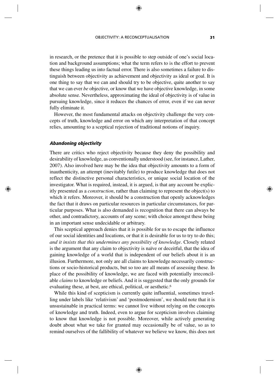in research, or the pretence that it is possible to step outside of one's social location and background assumptions; what the term refers to is the effort to prevent these things leading us into factual error. There is also sometimes a failure to distinguish between objectivity as achievement and objectivity as ideal or goal. It is one thing to say that we can and should try to be objective, quite another to say that we can ever *be* objective, or know that we have objective knowledge, in some absolute sense. Nevertheless, approximating the ideal of objectivity is of value in pursuing knowledge, since it reduces the chances of error, even if we can never fully eliminate it.

However, the most fundamental attacks on objectivity challenge the very concepts of truth, knowledge and error on which any interpretation of that concept relies, amounting to a sceptical rejection of traditional notions of inquiry.

#### *Abandoning objectivity*

There are critics who reject objectivity because they deny the possibility and desirability of knowledge, as conventionally understood (see, for instance, Lather, 2007). Also involved here may be the idea that objectivity amounts to a form of inauthenticity, an attempt (inevitably futile) to produce knowledge that does not reflect the distinctive personal characteristics, or unique social location of the investigator. What is required, instead, it is argued, is that any account be explicitly presented as a *construction*, rather than claiming to represent the object(s) to which it refers. Moreover, it should be a construction that openly acknowledges the fact that it draws on particular resources in particular circumstances, for particular purposes. What is also demanded is recognition that there can always be other, and contradictory, accounts of any scene; with choice amongst these being in an important sense undecidable or arbitrary.

This sceptical approach denies that it is possible for us to escape the influence of our social identities and locations, or that it is desirable for us to try to do this; *and it insists that this undermines any possibility of knowledge*. Closely related is the argument that any claim to objectivity is naïve or deceitful, that the idea of gaining knowledge of a world that is independent of our beliefs about it is an illusion. Furthermore, not only are all claims to knowledge necessarily constructions or socio-historical products, but so too are all means of assessing these. In place of the possibility of knowledge, we are faced with potentially irreconcilable *claims* to knowledge or beliefs. And it is suggested that the only grounds for evaluating these, at best, are ethical, political, or aesthetic.6

While this kind of scepticism is currently quite influential, sometimes travelling under labels like 'relativism' and 'postmodernism', we should note that it is unsustainable in practical terms: we cannot live without relying on the concepts of knowledge and truth. Indeed, even to argue for scepticism involves claiming to know that knowledge is not possible. Moreover, while actively generating doubt about what we take for granted may occasionally be of value, so as to remind ourselves of the fallibility of whatever we believe we know, this does not

⊕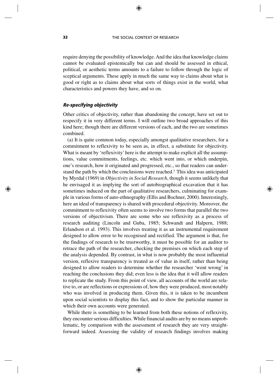require denying the possibility of knowledge. And the idea that knowledge claims cannot be evaluated epistemically but can and should be assessed in ethical, political, or aesthetic terms amounts to a failure to follow through the logic of sceptical arguments. These apply in much the same way to claims about what is good or right as to claims about what sorts of things exist in the world, what characteristics and powers they have, and so on.

#### *Re-specifying objectivity*

Other critics of objectivity, rather than abandoning the concept, have set out to respecify it in very different terms. I will outline two broad approaches of this kind here; though there are different versions of each, and the two are sometimes combined.

(a) It is quite common today, especially amongst qualitative researchers, for a commitment to reflexivity to be seen as, in effect, a substitute for objectivity. What is meant by 'reflexivity' here is the attempt to make explicit all the assumptions, value commitments, feelings, etc. which went into, or which underpin, one's research, how it originated and progressed, etc., so that readers can understand the path by which the conclusions were reached.7 This idea was anticipated by Myrdal (1969) in *Objectivity in Social Research*, though it seems unlikely that he envisaged it as implying the sort of autobiographical excavation that it has sometimes induced on the part of qualitative researchers, culminating for example in various forms of auto-ethnography (Ellis and Bochner, 2000). Interestingly, here an ideal of transparency is shared with procedural objectivity. Moreover, the commitment to reflexivity often seems to involve two forms that parallel the two versions of objectivism. There are some who see reflexivity as a process of research auditing (Lincoln and Guba, 1985; Schwandt and Halpern, 1988; Erlandson et al. 1993). This involves treating it as an instrumental requirement designed to allow error to be recognised and rectified. The argument is that, for the findings of research to be trustworthy, it must be possible for an auditor to retrace the path of the researcher, checking the premises on which each step of the analysis depended. By contrast, in what is now probably the most influential version, reflexive transparency is treated as of value in itself, rather than being designed to allow readers to determine whether the researcher 'went wrong' in reaching the conclusions they did; even less is the idea that it will allow readers to replicate the study. From this point of view, all accounts of the world are relative to, or are reflections or expressions of, how they were produced, most notably who was involved in producing them. Given this, it is taken to be incumbent upon social scientists to display this fact, and to show the particular manner in which their own accounts were generated.

⊕

While there is something to be learned from both these notions of reflexivity, they encounter serious difficulties. While financial audits are by no means unproblematic, by comparison with the assessment of research they are very straightforward indeed. Assessing the validity of research findings involves making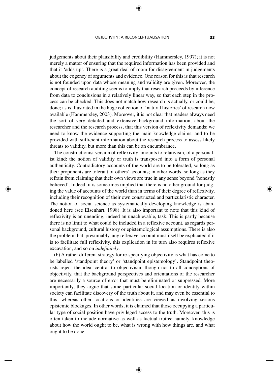judgements about their plausibility and credibility (Hammersley, 1997); it is not merely a matter of ensuring that the required information has been provided and that it 'adds up'. There is a great deal of room for disagreement in judgements about the cogency of arguments and evidence. One reason for this is that research is not founded upon data whose meaning and validity are given. Moreover, the concept of research auditing seems to imply that research proceeds by inference from data to conclusions in a relatively linear way, so that each step in the process can be checked. This does not match how research is actually, or could be, done; as is illustrated in the huge collection of 'natural histories' of research now available (Hammersley, 2003). Moreover, it is not clear that readers always need the sort of very detailed and extensive background information, about the researcher and the research process, that this version of reflexivity demands: we need to know the evidence supporting the main knowledge claims, and to be provided with sufficient information about the research process to assess likely threats to validity, but more than this can be an encumbrance.

The constructionist version of reflexivity amounts to relativism, of a personalist kind: the notion of validity or truth is transposed into a form of personal authenticity. Contradictory accounts of the world are to be tolerated, so long as their proponents are tolerant of others' accounts; in other words, so long as they refrain from claiming that their own views are true in any sense beyond 'honestly believed'. Indeed, it is sometimes implied that there is no other ground for judging the value of accounts of the world than in terms of their degree of reflexivity, including their recognition of their own constructed and particularistic character. The notion of social science as systematically developing knowledge is abandoned here (see Eisenhart, 1998). It is also important to note that this kind of reflexivity is an unending, indeed an unachievable, task. This is partly because there is no limit to what could be included in a reflexive account, as regards personal background, cultural history or epistemological assumptions. There is also the problem that, presumably, any reflexive account must itself be explicated if it is to facilitate full reflexivity, this explication in its turn also requires reflexive excavation, and so on *indefinitely*.

(b) A rather different strategy for re-specifying objectivity is what has come to be labelled 'standpoint theory' or 'standpoint epistemology'. Standpoint theorists reject the idea, central to objectivism, though not to all conceptions of objectivity, that the background perspectives and orientations of the researcher are necessarily a source of error that must be eliminated or suppressed. More importantly, they argue that some particular social location or identity within society can facilitate discovery of the truth about it, and may even be essential to this; whereas other locations or identities are viewed as involving serious epistemic blockages. In other words, it is claimed that those occupying a particular type of social position have privileged access to the truth. Moreover, this is often taken to include normative as well as factual truths: namely, knowledge about how the world ought to be, what is wrong with how things are, and what ought to be done.

⊕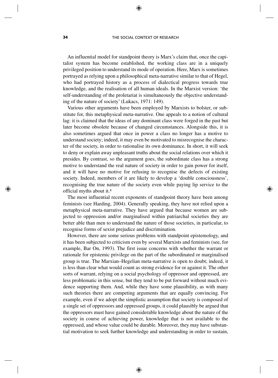⊕

An influential model for standpoint theory is Marx's claim that, once the capitalist system has become established, the working class are in a uniquely privileged position to understand its mode of operation. Here, Marx is sometimes portrayed as relying upon a philosophical meta-narrative similar to that of Hegel, who had portrayed history as a process of dialectical progress towards true knowledge, and the realisation of all human ideals. In the Marxist version: 'the self-understanding of the proletariat is simultaneously the objective understanding of the nature of society' (Lukacs, 1971: 149).

Various other arguments have been employed by Marxists to bolster, or substitute for, this metaphysical meta-narrative. One appeals to a notion of cultural lag: it is claimed that the ideas of any dominant class were forged in the past but later become obsolete because of changed circumstances. Alongside this, it is also sometimes argued that once in power a class no longer has a motive to understand society; indeed, it may even be motivated to misrecognise the character of the society, in order to rationalise its own dominance. In short, it will seek to deny or explain away unpleasant truths about the social relations over which it presides. By contrast, so the argument goes, the subordinate class has a strong motive to understand the real nature of society in order to gain power for itself, and it will have no motive for refusing to recognise the defects of existing society. Indeed, members of it are likely to develop a 'double consciousness', recognising the true nature of the society even while paying lip service to the official myths about it.8

The most influential recent exponents of standpoint theory have been among feminists (see Harding, 2004). Generally speaking, they have not relied upon a metaphysical meta-narrative. They have argued that because women are subjected to oppression and/or marginalised within patriarchal societies they are better able than men to understand the nature of those societies, in particular, to recognise forms of sexist prejudice and discrimination.

⊕

However, there are some serious problems with standpoint epistemology, and it has been subjected to criticism even by several Marxists and feminists (see, for example, Bar On, 1993). The first issue concerns with whether the warrant or rationale for epistemic privilege on the part of the subordinated or marginalised group is true. The Marxian–Hegelian meta-narrative is open to doubt; indeed, it is less than clear what would count as strong evidence for or against it. The other sorts of warrant, relying on a social psychology of oppressor and oppressed, are less problematic in this sense, but they tend to be put forward without much evidence supporting them. And, while they have some plausibility, as with many such theories there are competing arguments that are equally convincing. For example, even if we adopt the simplistic assumption that society is composed of a single set of oppressors and oppressed groups, it could plausibly be argued that the oppressors must have gained considerable knowledge about the nature of the society in course of achieving power, knowledge that is not available to the oppressed, and whose value could be durable. Moreover, they may have substantial motivation to seek further knowledge and understanding in order to sustain,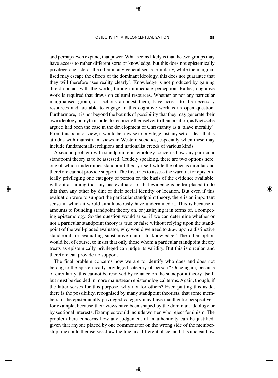and perhaps even expand, that power. What seems likely is that the two groups may have access to rather different sorts of knowledge, but this does not epistemically privilege one side or the other in any general sense. Similarly, while the marginalised may escape the effects of the dominant ideology, this does not guarantee that they will therefore 'see reality clearly'. Knowledge is not produced by gaining direct contact with the world, through immediate perception. Rather, cognitive work is required that draws on cultural resources. Whether or not any particular marginalised group, or sections amongst them, have access to the necessary resources and are able to engage in this cognitive work is an open question. Furthermore, it is not beyond the bounds of possibility that they may generate their own ideology or myth in order to reconcile themselves to their position, as Nietzsche argued had been the case in the development of Christianity as a 'slave morality'. From this point of view, it would be unwise to privilege just any set of ideas that is at odds with mainstream views in Western societies, especially when these may include fundamentalist religions and nationalist creeds of various kinds.

A second problem with standpoint epistemology concerns how any particular standpoint theory is to be assessed. Crudely speaking, there are two options here, one of which undermines standpoint theory itself while the other is circular and therefore cannot provide support. The first tries to assess the warrant for epistemically privileging one category of person on the basis of the evidence available, without assuming that any one evaluator of that evidence is better placed to do this than any other by dint of their social identity or location. But even if this evaluation were to support the particular standpoint theory, there is an important sense in which it would simultaneously have undermined it. This is because it amounts to founding standpoint theory on, or justifying it in terms of, a competing epistemology. So the question would arise: if we can determine whether or not a particular standpoint theory is true or false without relying upon the standpoint of the well-placed evaluator, why would we need to draw upon a distinctive standpoint for evaluating substantive claims to knowledge? The other option would be, of course, to insist that only those whom a particular standpoint theory treats as epistemically privileged can judge its validity. But this is circular, and therefore can provide no support.

The final problem concerns how we are to identify who does and does not belong to the epistemically privileged category of person.9 Once again, because of circularity, this cannot be resolved by reliance on the standpoint theory itself, but must be decided in more mainstream epistemological terms. Again, though, if the latter serves for this purpose, why not for others? Even putting this aside, there is the possibility, recognised by many standpoint theorists, that some members of the epistemically privileged category may have inauthentic perspectives, for example, because their views have been shaped by the dominant ideology or by sectional interests. Examples would include women who reject feminism. The problem here concerns how any judgement of inauthenticity can be justified, given that anyone placed by one commentator on the wrong side of the membership line could themselves draw the line in a different place; and it is unclear how

⊕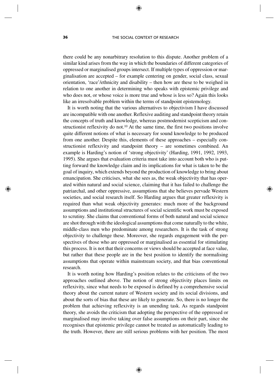there could be any nonarbitrary resolution to this dispute. Another problem of a similar kind arises from the way in which the boundaries of different categories of oppressed or marginalised groups intersect. If multiple types of oppression or marginalisation are accepted – for example centering on gender, social class, sexual orientation, 'race'/ethnicity and disability – then how are these to be weighed in relation to one another in determining who speaks with epistemic privilege and who does not, or whose voice is more true and whose is less so? Again this looks like an irresolvable problem within the terms of standpoint epistemology.

It is worth noting that the various alternatives to objectivism I have discussed are incompatible with one another. Reflexive auditing and standpoint theory retain the concepts of truth and knowledge, whereas postmodernist scepticism and constructionist reflexivity do not.<sup>10</sup> At the same time, the first two positions involve quite different notions of what is necessary for sound knowledge to be produced from one another. Despite this, elements of these approaches – especially constructionist reflexivity and standpoint theory – are sometimes combined. An example is Harding's notion of 'strong objectivity' (Harding, 1991, 1992, 1993, 1995). She argues that evaluation criteria must take into account both who is putting forward the knowledge claim and its implications for what is taken to be the goal of inquiry, which extends beyond the production of knowledge to bring about emancipation. She criticises, what she sees as, the weak objectivity that has operated within natural and social science, claiming that it has failed to challenge the patriarchal, and other oppressive, assumptions that she believes pervade Western societies, and social research itself. So Harding argues that greater reflexivity is required than what weak objectivity generates: much more of the background assumptions and institutional structures of social scientific work must be exposed to scrutiny. She claims that conventional forms of both natural and social science are shot through with the ideological assumptions that come naturally to the white, middle-class men who predominate among researchers. It is the task of strong objectivity to challenge these. Moreover, she regards engagement with the perspectives of those who are oppressed or marginalised as essential for stimulating this process. It is not that their concerns or views should be accepted at face value, but rather that these people are in the best position to identify the normalising assumptions that operate within mainstream society, and that bias conventional research.

⊕

It is worth noting how Harding's position relates to the criticisms of the two approaches outlined above. The notion of strong objectivity places limits on reflexivity, since what needs to be exposed is defined by a comprehensive social theory about the current nature of Western society and its social divisions, and about the sorts of bias that these are likely to generate. So, there is no longer the problem that achieving reflexivity is an unending task. As regards standpoint theory, she avoids the criticism that adopting the perspective of the oppressed or marginalised may involve taking over false assumptions on their part, since she recognises that epistemic privilege cannot be treated as automatically leading to the truth. However, there are still serious problems with her position. The most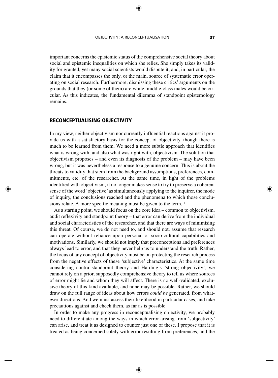⊕

important concerns the epistemic status of the comprehensive social theory about social and epistemic inequalities on which she relies. She simply takes its validity for granted, yet many social scientists would dispute it; and, in particular, the claim that it encompasses the only, or the main, source of systematic error operating on social research. Furthermore, dismissing these critics' arguments on the grounds that they (or some of them) are white, middle-class males would be circular. As this indicates, the fundamental dilemma of standpoint epistemology remains.

#### RECONCEPTUALISING OBJECTIVITY

In my view, neither objectivism nor currently influential reactions against it provide us with a satisfactory basis for the concept of objectivity, though there is much to be learned from them. We need a more subtle approach that identifies what is wrong with, and also what was right with, objectivism. The solution that objectivism proposes – and even its diagnosis of the problem – may have been wrong, but it was nevertheless a response to a genuine concern. This is about the threats to validity that stem from the background assumptions, preferences, commitments, etc. of the researcher. At the same time, in light of the problems identified with objectivism, it no longer makes sense to try to preserve a coherent sense of the word 'objective' as simultaneously applying to the inquirer, the mode of inquiry, the conclusions reached and the phenomena to which those conclusions relate. A more specific meaning must be given to the term.<sup>11</sup>

As a starting point, we should focus on the core idea – common to objectivism, audit reflexivity and standpoint theory – that error can derive from the individual and social characteristics of the researcher, and that there are ways of minimising this threat. Of course, we do not need to, and should not, assume that research can operate without reliance upon personal or socio-cultural capabilities and motivations. Similarly, we should not imply that preconceptions and preferences always lead to error, and that they never help us to understand the truth. Rather, the focus of any concept of objectivity must be on protecting the research process from the negative effects of these 'subjective' characteristics. At the same time considering contra standpoint theory and Harding's 'strong objectivity', we cannot rely on a prior, supposedly comprehensive theory to tell us where sources of error might lie and whom they will affect. There is no well-validated, exclusive theory of this kind available, and none may be possible. Rather, we should draw on the full range of ideas about how errors *could be* generated, from whatever directions. And we must assess their likelihood in particular cases, and take precautions against and check them, as far as is possible.

In order to make any progress in reconceptualising objectivity, we probably need to differentiate among the ways in which error arising from 'subjectivity' can arise, and treat it as designed to counter just one of these. I propose that it is treated as being concerned solely with error resulting from preferences, and the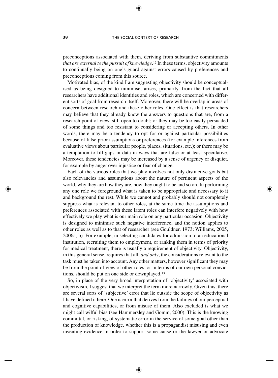preconceptions associated with them, deriving from substantive commitments *that are external to the pursuit of knowledge*. 12 In these terms, objectivity amounts to continually being on one's guard against errors caused by preferences and preconceptions coming from this source.

Motivated bias, of the kind I am suggesting objectivity should be conceptualised as being designed to minimise, arises, primarily, from the fact that all researchers have additional identities and roles, which are concerned with different sorts of goal from research itself. Moreover, there will be overlap in areas of concern between research and these other roles. One effect is that researchers may believe that they already know the answers to questions that are, from a research point of view, still open to doubt; or they may be too easily persuaded of some things and too resistant to considering or accepting others. In other words, there may be a tendency to opt for or against particular possibilities because of false prior assumptions or preferences (for example inferences from evaluative views about particular people, places, situations, etc.); or there may be a temptation to fill gaps in data in ways that are false or at least speculative. Moreover, these tendencies may be increased by a sense of urgency or disquiet, for example by anger over injustice or fear of change.

Each of the various roles that we play involves not only distinctive goals but also relevancies and assumptions about the nature of pertinent aspects of the world, why they are how they are, how they ought to be and so on. In performing any one role we foreground what is taken to be appropriate and necessary to it and background the rest. While we cannot and probably should not completely suppress what is relevant to other roles, at the same time the assumptions and preferences associated with these latent roles can interfere negatively with how effectively we play what is our main role on any particular occasion. Objectivity is designed to minimise such negative interference, and the notion applies to other roles as well as to that of researcher (see Gouldner, 1973; Williams, 2005, 2006a, b). For example, in selecting candidates for admission to an educational institution, recruiting them to employment, or ranking them in terms of priority for medical treatment, there is usually a requirement of objectivity. Objectivity, in this general sense, requires that all, *and only*, the considerations relevant to the task must be taken into account. Any other matters, however significant they may be from the point of view of other roles, or in terms of our own personal convictions, should be put on one side or downplayed.13

⊕

So, in place of the very broad interpretation of 'objectivity' associated with objectivism, I suggest that we interpret the term more narrowly. Given this, there are several sorts of 'subjective' error that lie outside the scope of objectivity as I have defined it here. One is error that derives from the failings of our perceptual and cognitive capabilities, or from misuse of them. Also excluded is what we might call wilful bias (see Hammersley and Gomm, 2000). This is the knowing committal, or risking, of systematic error in the service of some goal other than the production of knowledge, whether this is a propagandist misusing and even inventing evidence in order to support some cause or the lawyer or advocate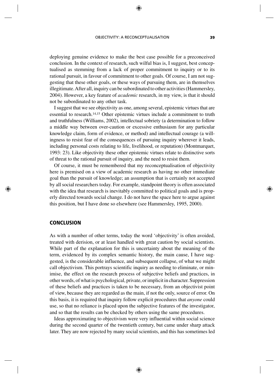deploying genuine evidence to make the best case possible for a preconceived conclusion. In the context of research, such wilful bias is, I suggest, best conceptualised as stemming from a lack of proper commitment to inquiry or to its rational pursuit, in favour of commitment to other goals. Of course, I am not suggesting that these other goals, or these ways of pursuing them, are in themselves illegitimate. After all, inquiry can be subordinated to other activities (Hammersley, 2004). However, a key feature of *academic* research, in my view, is that it should not be subordinated to any other task.

I suggest that we see objectivity as one, among several, epistemic virtues that are essential to research.14,15 Other epistemic virtues include a commitment to truth and truthfulness (Williams, 2002), intellectual sobriety (a determination to follow a middle way between over-caution or excessive enthusiasm for any particular knowledge claim, form of evidence, or method) and intellectual courage (a willingness to resist fear of the consequences of pursuing inquiry wherever it leads, including personal costs relating to life, livelihood, or reputation) (Montmarquet, 1993: 23). Like objectivity these other epistemic virtues relate to distinctive sorts of threat to the rational pursuit of inquiry, and the need to resist them.

Of course, it must be remembered that my reconceptualisation of objectivity here is premised on a view of academic research as having no other immediate goal than the pursuit of knowledge; an assumption that is certainly not accepted by all social researchers today. For example, standpoint theory is often associated with the idea that research is inevitably committed to political goals and is properly directed towards social change. I do not have the space here to argue against this position, but I have done so elsewhere (see Hammersley, 1995, 2000).

#### **CONCLUSION**

As with a number of other terms, today the word 'objectivity' is often avoided, treated with derision, or at least handled with great caution by social scientists. While part of the explanation for this is uncertainty about the meaning of the term, evidenced by its complex semantic history, the main cause, I have suggested, is the considerable influence, and subsequent collapse, of what we might call objectivism. This portrays scientific inquiry as needing to eliminate, or minimise, the effect on the research process of subjective beliefs and practices, in other words, of what is psychological, private, or implicit in character. Suppression of these beliefs and practices is taken to be necessary, from an objectivist point of view, because they are regarded as the main, if not the only, source of error. On this basis, it is required that inquiry follow explicit procedures that *anyone* could use, so that no reliance is placed upon the subjective features of the investigator, and so that the results can be checked by others using the same procedures.

Ideas approximating to objectivism were very influential within social science during the second quarter of the twentieth century, but came under sharp attack later. They are now rejected by many social scientists, and this has sometimes led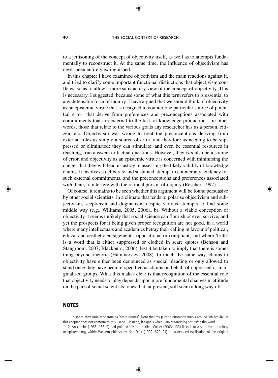to a jettisoning of the concept of objectivity itself, as well as to attempts fundamentally to reconstruct it. At the same time, the influence of objectivism has never been entirely extinguished.

In this chapter I have examined objectivism and the main reactions against it, and tried to clarify some important functional distinctions that objectivism conflates, so as to allow a more satisfactory view of the concept of objectivity. This is necessary, I suggested, because some of what this term refers to is essential to any defensible form of inquiry. I have argued that we should think of objectivity as an epistemic virtue that is designed to counter one particular source of potential error: that derive from preferences and preconceptions associated with commitments that are external to the task of knowledge production – in other words, those that relate to the various goals any researcher has as a person, citizen, etc. Objectivism was wrong to treat the preconceptions deriving from external roles as simply a source of error, and therefore as needing to be suppressed or eliminated: they can stimulate, and even be essential resources in reaching, true answers to factual questions. However, they *can* also be a source of error, and objectivity as an epistemic virtue is concerned with minimising the danger that they will lead us astray in assessing the likely validity of knowledge claims. It involves a deliberate and sustained attempt to counter any tendency for such external commitments, and the preconceptions and preferences associated with them, to interfere with the rational pursuit of inquiry (Rescher, 1997).

Of course, it remains to be seen whether this argument will be found persuasive by other social scientists, in a climate that tends to polarise objectivism and subjectivism, scepticism and dogmatism, despite various attempts to find some middle way (e.g., Williams, 2005, 2006a, b). Without a viable conception of objectivity it seems unlikely that social science can flourish or even survive; and yet the prospects for it being given proper recognition are not good, in a world where many intellectuals and academics betray their calling in favour of political, ethical and aesthetic engagements, oppositional or compliant; and where 'truth' is a word that is either suppressed or clothed in scare quotes (Benson and Stangroom, 2007; Blackburn, 2006), lest it be taken to imply that there is something beyond rhetoric (Hammersley, 2008). In much the same way, claims to objectivity have either been denounced as special pleading or only allowed to stand once they have been re-specified as claims on behalf of oppressed or marginalised groups. What this makes clear is that recognition of the essential role that objectivity needs to play depends upon more fundamental changes in attitude on the part of social scientists; ones that, at present, still seem a long way off.

⊕

#### NOTES

1 In short, they usually operate as 'scare quotes'. Note that my putting quotation marks around 'objectivity' in this chapter does not conform to this usage – instead, it signals when I am *mentioning* not *using* the word.

2 Anscombe (1965: 158–9) had pointed this out earlier. Collier (2003: 133) links it to a shift from ontology to epistemology within Western philosophy. See Dear (1992: 620–21) for a detailed explication of the original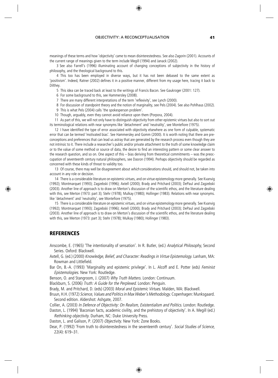#### OBJECTIVITY: A RECONCEPTUALISATION **41**

⊕

meanings of these terms and how 'objectivity' came to mean disinterestedness. See also Zagorin (2001). Accounts of the current range of meanings given to the term include Megill (1994) and Janack (2002).

 3 See also Farrell's (1996) illuminating account of changing conceptions of subjectivity in the history of philosophy, and the theological background to this.

 4 This too has been employed in diverse ways, but it has not been debased to the same extent as 'positivism'. Indeed, Ratner (2002) defines it in a positive manner, different from my usage here, tracing it back to **Dilthey** 

5 This idea can be traced back at least to the writings of Francis Bacon. See Gaukroger (2001: 127).

6 For some background to this, see Hammersley (2008).

7 There are many different interpretations of the term 'reflexivity', see Lynch (2000).

8 For discussion of standpoint theory and the notion of marginality, see Pels (2004). See also Pohlhaus (2002).

9 This is what Pels (2004) calls 'the spokesperson problem'.

10 Though, arguably, even they cannot avoid reliance upon them (Porpora, 2004).

11 As part of this, we will not only have to distinguish objectivity from other epistemic virtues but also to sort out its terminological relations with near synonyms like 'detachment' and 'neutrality', see Montefiore (1975).

12 I have identified the type of error associated with objectivity elsewhere as one form of culpable, systematic error that can be termed 'motivated bias'. See Hammersley and Gomm (2000). It is worth noting that there are preconceptions and preferences that can lead us astray that are generated by the research process even though they are not intrinsic to it. There include a researcher's public and/or private attachment to the truth of some knowledge claim or to the value of some method or source of data, the desire to find an interesting pattern or some clear answer to the research question, and so on. One aspect of this – bias deriving from theoretical commitments – was the preoccupation of seventeenth century natural philosophers, see Dasron (1994). Perhaps objectivity should be regarded as concerned with these kinds of threat to validity too.

13 Of course, there may well be disagreement about *which* considerations should, and should not, be taken into account in any role or decision.

14 There is a considerable literature on epistemic virtues, and on virtue epistemology more generally. See Kvanvig (1992); Montmarquet (1993); Zagzebski (1996); Axtell (2000); Brady and Pritchard (2003); DePaul and Zagzebski (2003). Another line of approach is to draw on Merton's discussion of the scientific ethos, and the literature dealing with this, see Merton (1973: part 3); Stehr (1978); Mulkay (1980); Hollinger (1983). Relations with near synonyms. like 'detachment' and 'neutrality', see Montefiore (1975).

15 There is a considerable literature on epistemic virtues, and on virtue epistemology more generally. See Kvanvig (1992); Montmarquet (1993); Zagzebski (1996); Axtell (2000); Brady and Pritchard (2003); DePaul and Zagzebski (2003). Another line of approach is to draw on Merton's discussion of the scientific ethos, and the literature dealing with this, see Merton (1973: part 3); Stehr (1978); Mulkay (1980); Hollinger (1983).

#### REFERENCES

Anscombe, E. (1965) 'The intentionality of sensation'. In R. Butler, (ed.) *Analytical Philosophy*, Second Series. Oxford: Blackwell.

Axtell, G. (ed.) (2000) *Knowledge, Belief, and Character: Readings in Virtue Epistemology*. Lanham, MA: Rowman and Littlefield.

Bar On, B.-A. (1993) 'Marginality and epistemic privilege'. In L. Alcoff and E. Potter (eds) *Feminist Epistemologies*. New York: Routledge.

Benson, O. and Stangroom, J. (2007) *Why Truth Matters*. London: Continuum.

Blackburn, S. (2006) *Truth: A Guide for the Perplexed*. London: Penguin.

Brady, M. and Pritchard, D. (eds) (2003) *Moral and Epistemic Virtues*. Malden, MA: Blackwell.

Bruun, H.H. (1972) *Science, Values and Politics in Max Weber's Methodology*. Copenhagen: Munksgaard. Second edition. Aldershot: Ashgate, 2007.

Collier, A. (2003) *In Defence of Objectivity: On Realism, Existentialism and Politics*. London: Routledge.

Daston, L. (1994) 'Baconian facts, academic civility, and the prehistory of objectivity'. In A. Megill (ed.) *Rethinking objectivity*. Durham, NC: Duke University Press.

Daston, L. and Galison, P. (2007) *Objectivity*. New York: Zone Books.

Dear, P. (1992) 'From truth to disinterestedness in the seventeenth century'. *Social Studies of Science*, 22(4): 619–31.

⊕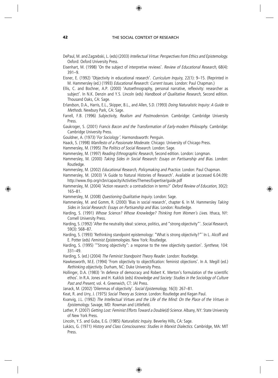⊕

- DePaul, M. and Zagzebski, L. (eds) (2003) *Intellectual Virtue: Perspectives from Ethics and Epistemology*. Oxford: Oxford University Press.
- Eisenhart, M. (1998) 'On the subject of interpretive reviews'. *Review of Educational Research*, 68(4): 391–9.
- Eisner, E. (1992) 'Objectivity in educational research'. *Curriculum Inquiry*, 22(1): 9–15. (Reprinted in M. Hammersley (ed.) (1993) *Educational Research: Current Issues*. London: Paul Chapman.)
- Ellis, C. and Bochner, A.P. (2000) 'Autoethnography, personal narrative, reflexivity: researcher as subject'. In N.K. Denzin and Y.S. Lincoln (eds) *Handbook of Qualitative Research*, Second edition. Thousand Oaks, CA: Sage.
- Erlandson, D.A., Harris, E.L., Skipper, B.L., and Allen, S.D. (1993) *Doing Naturalistic Inquiry: A Guide to Methods*. Newbury Park, CA: Sage.
- Farrell, F.B. (1996) *Subjectivity, Realism and Postmodernism*. Cambridge: Cambridge University Press.
- Gaukroger, S. (2001) *Francis Bacon and the Transformation of Early-modern Philosophy*. Cambridge: Cambridge University Press.
- Gouldner, A. (1973) '*For Sociology '*. Harmondsworth: Penguin.
- Haack, S. (1998) *Manifesto of a Passionate Moderate*. Chicago: University of Chicago Press.
- Hammersley, M. (1995) *The Politics of Social Research*. London: Sage.
- Hammersley, M. (1997) *Reading Ethnographic Research*, Second edition. London: Longman.
- Hammersley, M. (2000) *Taking Sides in Social Research: Essays on Partisanship and Bias*. London: Routledge.
- Hammersley, M. (2002) *Educational Research, Policymaking and Practice*. London: Paul Chapman.
- Hammersley, M. (2003) 'A Guide to Natural Histories of Research'. Available at (accessed 6.04.09): http://www.tlrp.org/rcbn/capacity/Activities/Themes/Expertise/guide.pdf
- Hammersley, M. (2004) 'Action research: a contradiction in terms?' *Oxford Review of Education*, 30(2): 165–81.

⊕

- Hammersley, M. (2008) *Questioning Qualitative Inquiry*. London: Sage.
- Hammersley, M. and Gomm, R. (2000) 'Bias in social research', chapter 6. In M. Hammersley *Taking Sides in Social Research: Essays on Partisanship and Bias*. London: Routledge.
- Harding, S. (1991) *Whose Science? Whose Knowledge? Thinking from Women's Lives*. Ithaca, NY: Cornell University Press.
- Harding, S. (1992) 'After the neutrality ideal: science, politics, and "strong objectivity"'. *Social Research*, 59(3): 568–87.
- Harding, S. (1993) 'Rethinking standpoint epistemology: "What is strong objectivity?"' In L. Alcoff and E. Potter (eds) *Feminist Epistemologies*. New York: Routledge.
- Harding, S. (1995) '"Strong objectivity": a response to the new objectivity question'. *Synthese*, 104: 331–49.
- Harding, S. (ed.) (2004) *The Feminist Standpoint Theory Reader*. London: Routledge.
- Hawkesworth, M.E. (1994) 'From objectivity to objectification: feminist objections'. In A. Megill (ed.) *Rethinking objectivity*. Durham, NC: Duke University Press.
- Hollinger, D.A. (1983) 'In defence of democracy and Robert K. Merton's formulation of the scientific ethos'. In R.A. Jones and H. Kuklick (eds) *Knowledge and Society: Studies in the Sociology of Culture Past and Present*, vol. 4. Greenwich, CT: JAI Press.

Janack, M. (2002) 'Dilemmas of objectivity'. *Social Epistemology*, 16(3): 267–81.

- Keat, R. and Urry, J. (1975) *Social Theory as Science*. London: Routledge and Kegan Paul.
- Kvanvig, J.L. (1992) *The Intellectual Virtues and the Life of the Mind: On the Place of the Virtues in Epistemology*. Savage, MD: Rowman and Littlefield.
- Lather, P. (2007) *Getting Lost: Feminist Efforts Toward a Double(d) Science*. Albany, NY: State University of New York Press.

Lincoln, Y.S. and Guba, E.G. (1985) *Naturalistic Inquiry*. Beverley Hills, CA: Sage.

Lukács, G. (1971) *History and Class Consciousness: Studies in Marxist Dialectics*. Cambridge, MA: MIT Press.